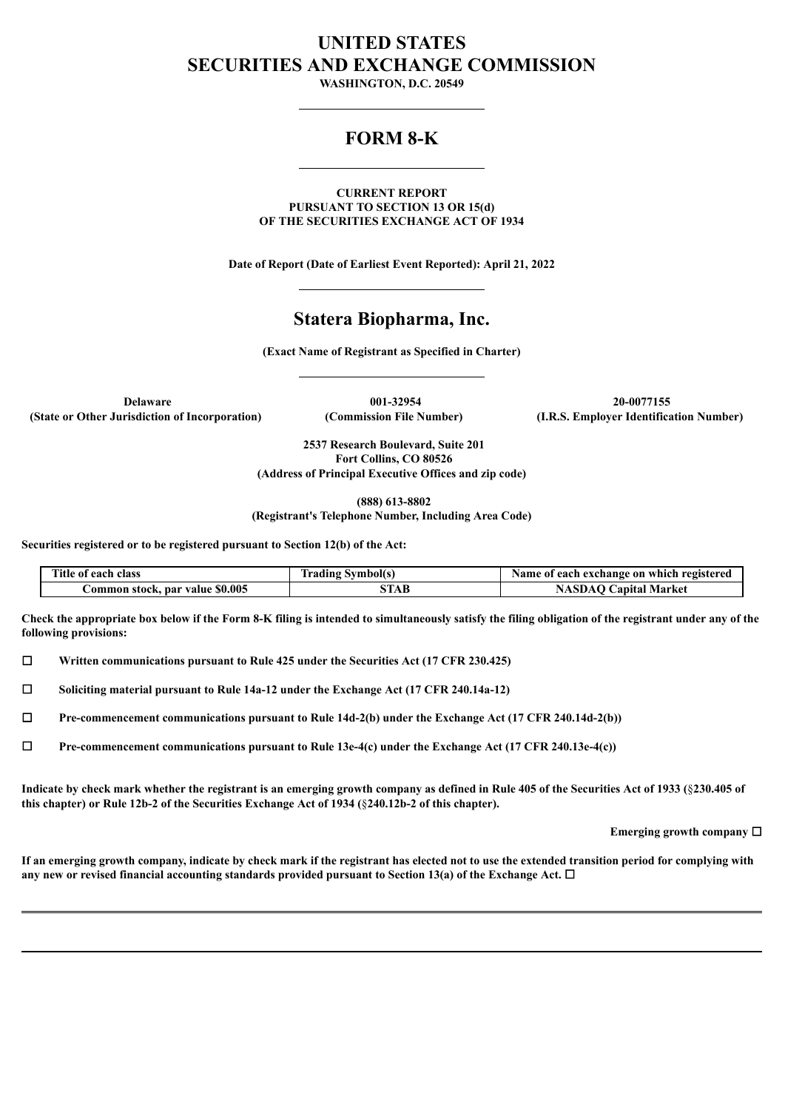# **UNITED STATES SECURITIES AND EXCHANGE COMMISSION**

**WASHINGTON, D.C. 20549**

## **FORM 8-K**

**CURRENT REPORT PURSUANT TO SECTION 13 OR 15(d) OF THE SECURITIES EXCHANGE ACT OF 1934**

**Date of Report (Date of Earliest Event Reported): April 21, 2022**

## **Statera Biopharma, Inc.**

**(Exact Name of Registrant as Specified in Charter)**

**(State or Other Jurisdiction of Incorporation) (Commission File Number) (I.R.S. Employer Identification Number)**

**Delaware 001-32954 20-0077155**

**2537 Research Boulevard, Suite 201 Fort Collins, CO 80526 (Address of Principal Executive Offices and zip code)**

**(888) 613-8802**

**(Registrant's Telephone Number, Including Area Code)**

**Securities registered or to be registered pursuant to Section 12(b) of the Act:**

| Title of each class             | <b>Trading Symbol(s)</b> | Name of each exchange on which registered |
|---------------------------------|--------------------------|-------------------------------------------|
| Common stock, par value \$0.005 | STAB                     | <b>NASDAO Capital Market</b>              |

Check the appropriate box below if the Form 8-K filing is intended to simultaneously satisfy the filing obligation of the registrant under any of the **following provisions:**

☐ **Written communications pursuant to Rule 425 under the Securities Act (17 CFR 230.425)**

☐ **Soliciting material pursuant to Rule 14a-12 under the Exchange Act (17 CFR 240.14a-12)**

☐ **Pre-commencement communications pursuant to Rule 14d-2(b) under the Exchange Act (17 CFR 240.14d-2(b))**

☐ **Pre-commencement communications pursuant to Rule 13e-4(c) under the Exchange Act (17 CFR 240.13e-4(c))**

Indicate by check mark whether the registrant is an emerging growth company as defined in Rule 405 of the Securities Act of 1933 (§230.405 of **this chapter) or Rule 12b-2 of the Securities Exchange Act of 1934 (**§**240.12b-2 of this chapter).**

**Emerging growth company** ☐

If an emerging growth company, indicate by check mark if the registrant has elected not to use the extended transition period for complying with **any new or revised financial accounting standards provided pursuant to Section 13(a) of the Exchange Act.** ☐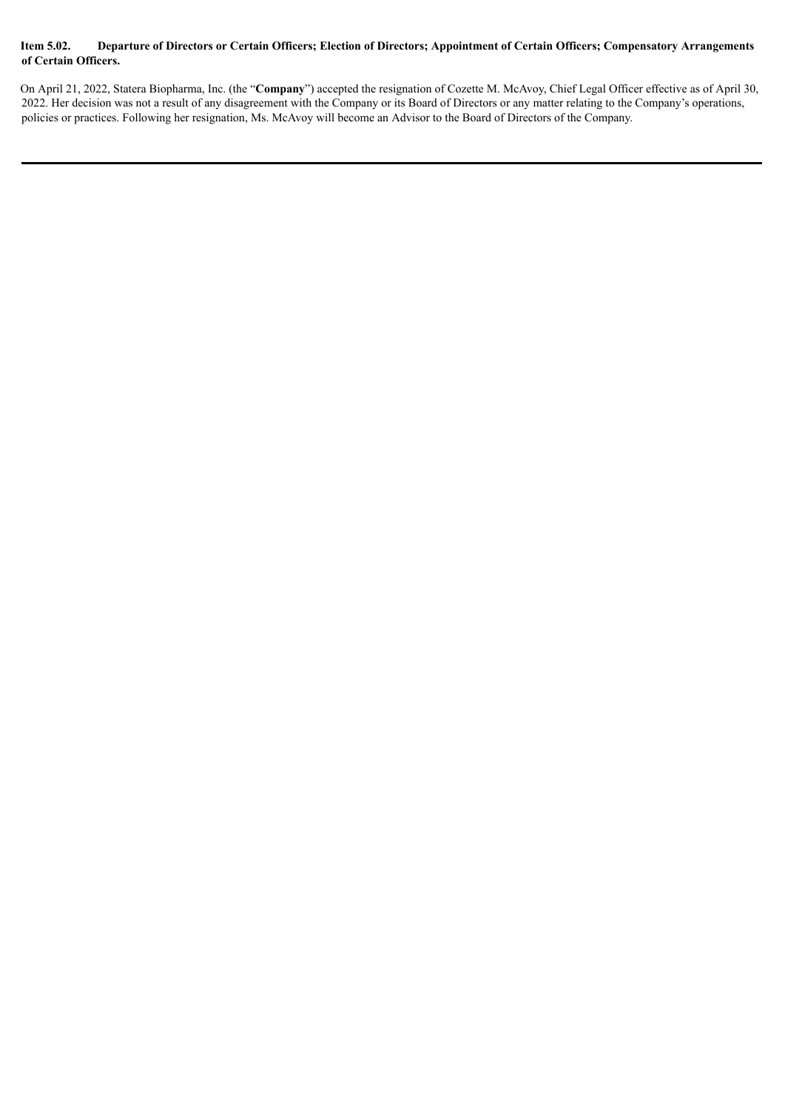#### Item 5.02. Departure of Directors or Certain Officers; Election of Directors; Appointment of Certain Officers; Compensatory Arrangements **of Certain Officers.**

On April 21, 2022, Statera Biopharma, Inc. (the "**Company**") accepted the resignation of Cozette M. McAvoy, Chief Legal Officer effective as of April 30, 2022. Her decision was not a result of any disagreement with the Company or its Board of Directors or any matter relating to the Company's operations, policies or practices. Following her resignation, Ms. McAvoy will become an Advisor to the Board of Directors of the Company.